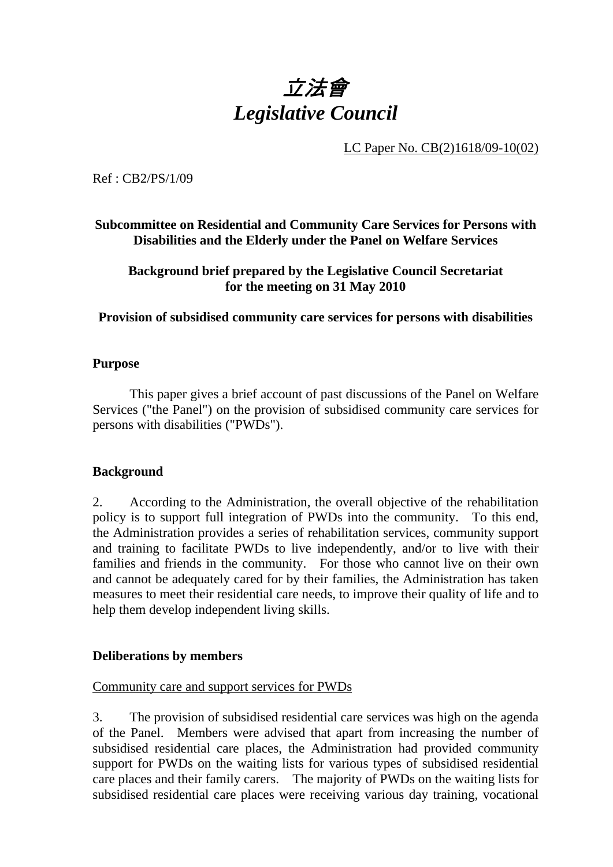# 立法會 *Legislative Council*

LC Paper No. CB(2)1618/09-10(02)

Ref : CB2/PS/1/09

**Subcommittee on Residential and Community Care Services for Persons with Disabilities and the Elderly under the Panel on Welfare Services** 

**Background brief prepared by the Legislative Council Secretariat for the meeting on 31 May 2010** 

**Provision of subsidised community care services for persons with disabilities** 

### **Purpose**

This paper gives a brief account of past discussions of the Panel on Welfare Services ("the Panel") on the provision of subsidised community care services for persons with disabilities ("PWDs").

# **Background**

2. According to the Administration, the overall objective of the rehabilitation policy is to support full integration of PWDs into the community. To this end, the Administration provides a series of rehabilitation services, community support and training to facilitate PWDs to live independently, and/or to live with their families and friends in the community. For those who cannot live on their own and cannot be adequately cared for by their families, the Administration has taken measures to meet their residential care needs, to improve their quality of life and to help them develop independent living skills.

### **Deliberations by members**

### Community care and support services for PWDs

3. The provision of subsidised residential care services was high on the agenda of the Panel. Members were advised that apart from increasing the number of subsidised residential care places, the Administration had provided community support for PWDs on the waiting lists for various types of subsidised residential care places and their family carers. The majority of PWDs on the waiting lists for subsidised residential care places were receiving various day training, vocational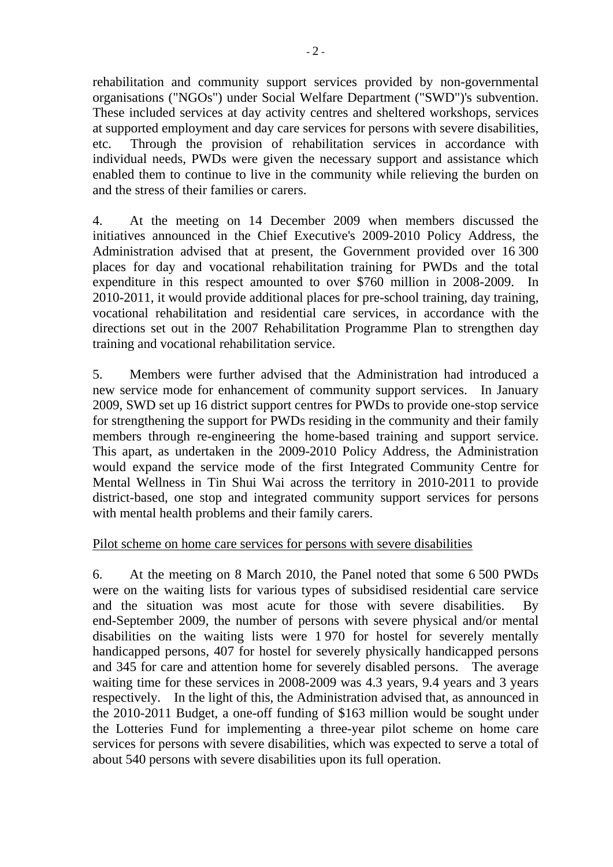rehabilitation and community support services provided by non-governmental organisations ("NGOs") under Social Welfare Department ("SWD")'s subvention. These included services at day activity centres and sheltered workshops, services at supported employment and day care services for persons with severe disabilities, etc. Through the provision of rehabilitation services in accordance with individual needs, PWDs were given the necessary support and assistance which enabled them to continue to live in the community while relieving the burden on and the stress of their families or carers.

4. At the meeting on 14 December 2009 when members discussed the initiatives announced in the Chief Executive's 2009-2010 Policy Address, the Administration advised that at present, the Government provided over 16.300 places for day and vocational rehabilitation training for PWDs and the total expenditure in this respect amounted to over \$760 million in 2008-2009. In 2010-2011, it would provide additional places for pre-school training, day training, vocational rehabilitation and residential care services, in accordance with the directions set out in the 2007 Rehabilitation Programme Plan to strengthen day training and vocational rehabilitation service.

5. Members were further advised that the Administration had introduced a new service mode for enhancement of community support services. In January 2009, SWD set up 16 district support centres for PWDs to provide one-stop service for strengthening the support for PWDs residing in the community and their family members through re-engineering the home-based training and support service. This apart, as undertaken in the 2009-2010 Policy Address, the Administration would expand the service mode of the first Integrated Community Centre for Mental Wellness in Tin Shui Wai across the territory in 2010-2011 to provide district-based, one stop and integrated community support services for persons with mental health problems and their family carers.

# Pilot scheme on home care services for persons with severe disabilities

6. At the meeting on 8 March 2010, the Panel noted that some 6,500 PWDs were on the waiting lists for various types of subsidised residential care service and the situation was most acute for those with severe disabilities. By end-September 2009, the number of persons with severe physical and/or mental disabilities on the waiting lists were 1970 for hostel for severely mentally handicapped persons, 407 for hostel for severely physically handicapped persons and 345 for care and attention home for severely disabled persons. The average waiting time for these services in 2008-2009 was 4.3 years, 9.4 years and 3 years respectively. In the light of this, the Administration advised that, as announced in the 2010-2011 Budget, a one-off funding of \$163 million would be sought under the Lotteries Fund for implementing a three-year pilot scheme on home care services for persons with severe disabilities, which was expected to serve a total of about 540 persons with severe disabilities upon its full operation.